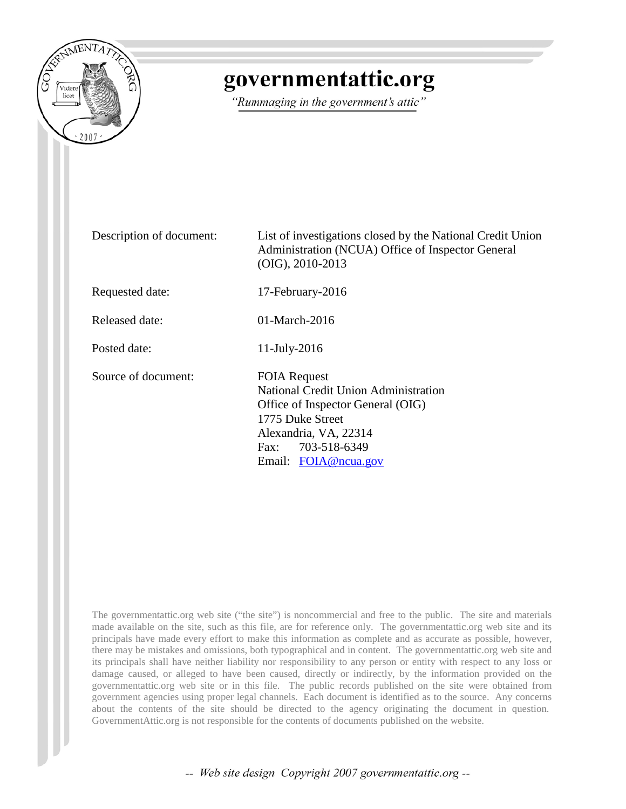

## governmentattic.org

"Rummaging in the government's attic"

Description of document: List of investigations closed by the National Credit Union Administration (NCUA) Office of Inspector General (OIG), 2010-2013 Requested date: 17-February-2016 Released date: 01-March-2016 Posted date: 11-July-2016 Source of document: FOIA Request National Credit Union Administration Office of Inspector General (OIG) 1775 Duke Street Alexandria, VA, 22314 Fax: 703-518-6349 Email: [FOIA@ncua.gov](mailto:FOIA@ncua.gov)

The governmentattic.org web site ("the site") is noncommercial and free to the public. The site and materials made available on the site, such as this file, are for reference only. The governmentattic.org web site and its principals have made every effort to make this information as complete and as accurate as possible, however, there may be mistakes and omissions, both typographical and in content. The governmentattic.org web site and its principals shall have neither liability nor responsibility to any person or entity with respect to any loss or damage caused, or alleged to have been caused, directly or indirectly, by the information provided on the governmentattic.org web site or in this file. The public records published on the site were obtained from government agencies using proper legal channels. Each document is identified as to the source. Any concerns about the contents of the site should be directed to the agency originating the document in question. GovernmentAttic.org is not responsible for the contents of documents published on the website.

-- Web site design Copyright 2007 governmentattic.org --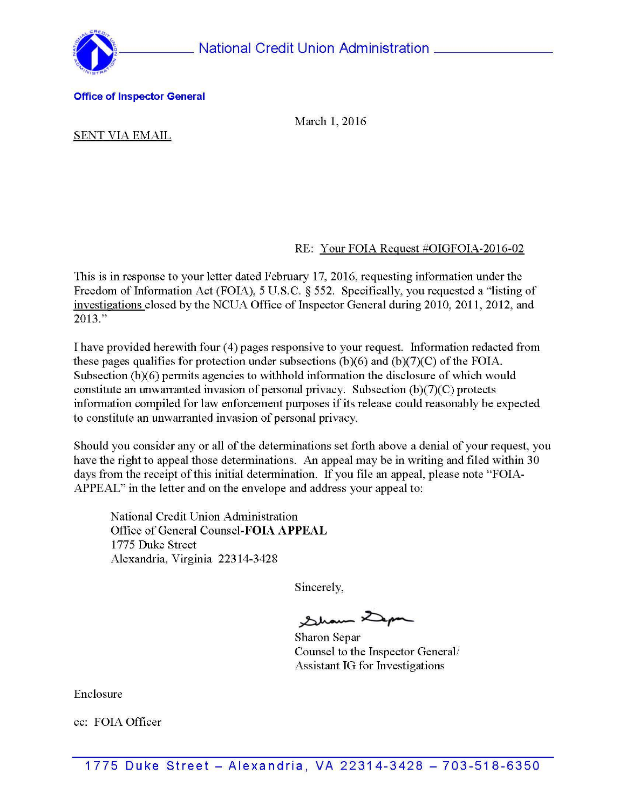



#### Office of Inspector General

March 1, 2016

#### SENT VIA EMAIL

### RE: Your FOIA Request #OIGFOIA-2016-02

This is in response to your letter dated February 17, 2016, requesting information under the Freedom of Information Act (FOIA), 5 U.S.C. § 552. Specifically, you requested a "listing of investigations closed by the NCUA Office of Inspector General during 2010, 2011, 2012, and 2013."

I have provided herewith four ( 4) pages responsive to your request. Information redacted from these pages qualifies for protection under subsections  $(b)(6)$  and  $(b)(7)(C)$  of the FOIA. Subsection (b)(6) permits agencies to withhold information the disclosure of which would constitute an unwarranted invasion of personal privacy. Subsection (b)(7)(C) protects information compiled for law enforcement purposes if its release could reasonably be expected to constitute an unwarranted invasion of personal privacy.

Should you consider any or all of the determinations set forth above a denial of your request, you have the right to appeal those determinations. An appeal may be in writing and filed within 30 days from the receipt of this initial determination. If you file an appeal, please note "FOIA-APPEAL" in the letter and on the envelope and address your appeal to:

National Credit Union Administration Office of General Counsel-FOIA APPEAL 1775 Duke Street Alexandria, Virginia 22314-3428

Sincerely,

Sham Dep

Sharon Separ Counsel to the Inspector General/ Assistant IG for Investigations

Enclosure

cc: FOIA Officer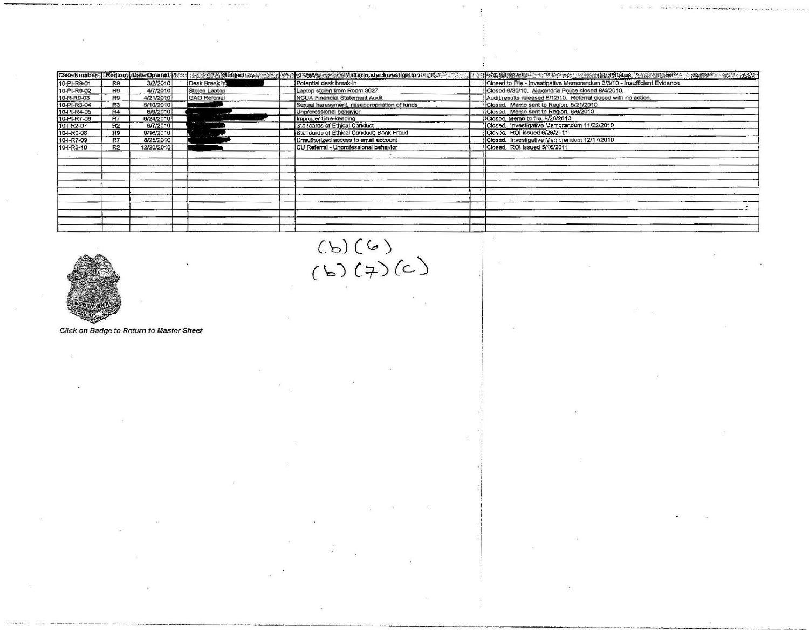|             |                |            |                     | Case Number Region: Date Opened Management Subjects and Way and Management Matter under Investigation and Way 1 | 的。我们的人们也会有一个人的人,我们的人们的人们,我们的人们,我们的人们,我们也不会有一个人的人,我们的人们的人,我们的人们的人,我们的人们都会有一个人的人,我们 |
|-------------|----------------|------------|---------------------|-----------------------------------------------------------------------------------------------------------------|-----------------------------------------------------------------------------------|
| 10-PI-R9-01 | R9             | 3/2/2010   | Desk Break in       | Potential desk break-in                                                                                         | Closed to File - investigative Memorandum 3/3/10 - Insufficient Evidence          |
| 10-PI-R9-02 | R9             | 4/7/2010   | Stolen Laptop       | Laptop stolen from Room 3027                                                                                    | Closed 6/30/10. Alexandria Police closed 8/4/2010.                                |
| 10-R-R9-03  | R9             | 4/21/2010  | <b>GAO</b> Referral | NCUA Financial Statement Audit                                                                                  | Audit results released 6/12/10. Referral closed with no action.                   |
| 10-PI-R3-04 | R <sub>3</sub> | 5/10/2010  |                     | Sexual harassment, misappropriation of funds                                                                    | Closed. Memo sent to Region, 5/21/2010                                            |
| 10-PI-R4-05 | R4             | 6/9/2010   |                     | Unprofessional behavior                                                                                         | Closed. Memo sent to Region. 8/6/2010                                             |
| 10-PI-R7-06 | R7             | 6/24/2010  |                     | Improper time-keeping                                                                                           | Closed, Memo to file, 8/26/2010                                                   |
| 10-1-R2-07  | R2             | 9/7/2010   |                     | Standards of Ethical Conduct                                                                                    | Closed. Investigative Memorandum 11/22/2010                                       |
| 10-I-R9-08  | R9             | 9/16/2010  |                     | Standards of Ethical Conduct; Bank Fraud                                                                        | Closed. ROI issued 6/29/2011                                                      |
| 10-I-R7-09  | R7             | 8/25/2010  |                     | Unauthorized access to email account                                                                            | Closed. Investigative Memorandum 12/17/2010                                       |
| 10-I-R3-10  | R <sub>2</sub> | 12/20/2010 |                     | CU Referral - Unprofessional behavior                                                                           | Closed. ROI issued 5/16/2011                                                      |
|             |                |            |                     |                                                                                                                 |                                                                                   |
|             |                |            |                     |                                                                                                                 |                                                                                   |
|             |                |            |                     |                                                                                                                 |                                                                                   |
|             |                |            |                     |                                                                                                                 |                                                                                   |
|             |                |            |                     |                                                                                                                 |                                                                                   |
|             |                |            |                     |                                                                                                                 |                                                                                   |
|             |                |            |                     |                                                                                                                 |                                                                                   |
|             |                |            |                     |                                                                                                                 |                                                                                   |
|             |                |            |                     |                                                                                                                 |                                                                                   |
|             |                |            |                     |                                                                                                                 |                                                                                   |
|             |                |            |                     |                                                                                                                 |                                                                                   |



 $(b)(6)$ <br>(b) (7) (c)

Click on Badge to Return to Master Sheet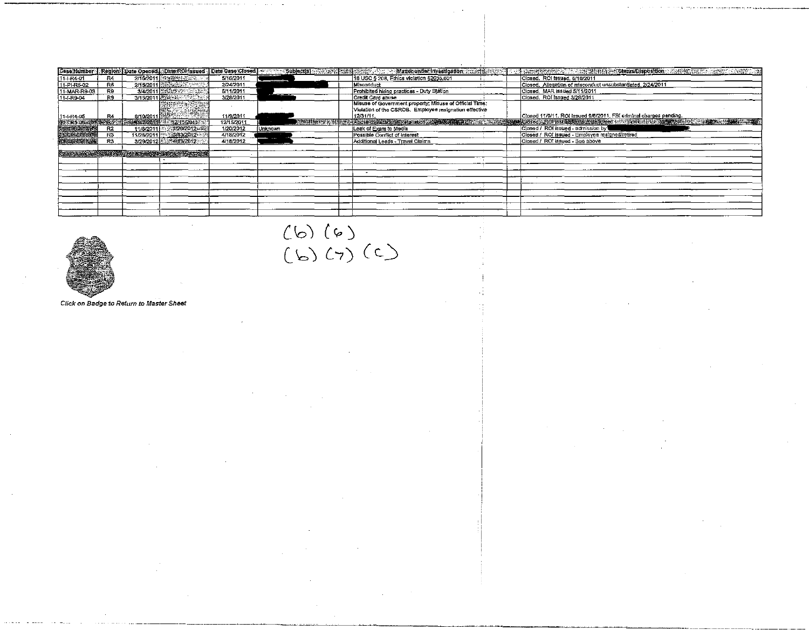| 2/15/2011 20:00 00:00:00:00<br>18 USC § 208, Ethics violation §2635,601<br>Closed. ROI issued, 5/16/2011<br>R4<br>Closed. Allegation of misconduct unsubstantiated. 2/24/2011<br>2/24/2011<br>Misconduct<br>R5<br>2/15/2011 35<br>3/4/2011 30 20 20 20 3<br>Prohibited hiring practices - Duty Station<br>5/11/2011<br>Closed, MAR issued 5/11/2011<br>R9<br>Credit Card abuse<br>Closed. ROI issued 3/28/2011<br>3/15/2011 网络海绵科学<br>3/28/2011<br>R9<br>Misuse of Government property, Misuse of Official Time;<br>Violation of the CSROB. Employee resignation effective<br>Closed 11/9/11, ROI issued 9/6/2011. FBI criminal charges pending.<br>11/9/2011<br>8/10/2011 图解源等。<br>12/31/11.<br>R4<br><b>のことになることにOFISSIBOを行わないSSSIDEによって、自動機関係のマークスの機関を行うことを実際のことを実現しています。</b><br><b>RESINANCE: ADDSEQUATIONNERGIALOR ASSESSED AT A SECOND AND RESIDENCE</b><br>RE FR5 06 BETWER 5-5 2000 2001 - 12010 2/15/2011<br>12/15/2011<br>北陸5 62-02-25<br>11/8/2011 2012012012<br>Closed / ROI issued - admission by<br><b>R2</b><br>1/20/2012<br>Leak of Exam to Media<br>Unknown<br><b>DECERS OBJES</b><br>11/28/2011 3/13/2012<br>Closed / ROI issued - Employee resigned/retired<br>4/18/2012<br>R3<br>Possible Conflict of Interest<br>Lincursiosaw<br>3/29/2012 8:224 13/2012<br>Closed / ROI issued - See above<br>4/18/2012<br><b>R3</b><br>Additional Leads - Travel Claims<br>Change in Case Municipal County New OOL ISBN 978-91 |              |  |           |  |  | Case Number   Region  Date Openetly Date ROI ssued   Date Case Closed   www. Subject(s) and a subject(s) and a subject of the second with the subject of the second with the second with the second with the second with the s |
|---------------------------------------------------------------------------------------------------------------------------------------------------------------------------------------------------------------------------------------------------------------------------------------------------------------------------------------------------------------------------------------------------------------------------------------------------------------------------------------------------------------------------------------------------------------------------------------------------------------------------------------------------------------------------------------------------------------------------------------------------------------------------------------------------------------------------------------------------------------------------------------------------------------------------------------------------------------------------------------------------------------------------------------------------------------------------------------------------------------------------------------------------------------------------------------------------------------------------------------------------------------------------------------------------------------------------------------------------------------------------------------------------------------------------------------|--------------|--|-----------|--|--|--------------------------------------------------------------------------------------------------------------------------------------------------------------------------------------------------------------------------------|
|                                                                                                                                                                                                                                                                                                                                                                                                                                                                                                                                                                                                                                                                                                                                                                                                                                                                                                                                                                                                                                                                                                                                                                                                                                                                                                                                                                                                                                       | 11-1-R4-01   |  | 5/16/2011 |  |  |                                                                                                                                                                                                                                |
|                                                                                                                                                                                                                                                                                                                                                                                                                                                                                                                                                                                                                                                                                                                                                                                                                                                                                                                                                                                                                                                                                                                                                                                                                                                                                                                                                                                                                                       | 11-PI-R5-02  |  |           |  |  |                                                                                                                                                                                                                                |
|                                                                                                                                                                                                                                                                                                                                                                                                                                                                                                                                                                                                                                                                                                                                                                                                                                                                                                                                                                                                                                                                                                                                                                                                                                                                                                                                                                                                                                       | 11-MAR-R9-03 |  |           |  |  |                                                                                                                                                                                                                                |
|                                                                                                                                                                                                                                                                                                                                                                                                                                                                                                                                                                                                                                                                                                                                                                                                                                                                                                                                                                                                                                                                                                                                                                                                                                                                                                                                                                                                                                       | 11-I-R9-04   |  |           |  |  |                                                                                                                                                                                                                                |
|                                                                                                                                                                                                                                                                                                                                                                                                                                                                                                                                                                                                                                                                                                                                                                                                                                                                                                                                                                                                                                                                                                                                                                                                                                                                                                                                                                                                                                       |              |  |           |  |  |                                                                                                                                                                                                                                |
|                                                                                                                                                                                                                                                                                                                                                                                                                                                                                                                                                                                                                                                                                                                                                                                                                                                                                                                                                                                                                                                                                                                                                                                                                                                                                                                                                                                                                                       |              |  |           |  |  |                                                                                                                                                                                                                                |
|                                                                                                                                                                                                                                                                                                                                                                                                                                                                                                                                                                                                                                                                                                                                                                                                                                                                                                                                                                                                                                                                                                                                                                                                                                                                                                                                                                                                                                       | 111-I-R4-05  |  |           |  |  |                                                                                                                                                                                                                                |
|                                                                                                                                                                                                                                                                                                                                                                                                                                                                                                                                                                                                                                                                                                                                                                                                                                                                                                                                                                                                                                                                                                                                                                                                                                                                                                                                                                                                                                       |              |  |           |  |  |                                                                                                                                                                                                                                |
|                                                                                                                                                                                                                                                                                                                                                                                                                                                                                                                                                                                                                                                                                                                                                                                                                                                                                                                                                                                                                                                                                                                                                                                                                                                                                                                                                                                                                                       |              |  |           |  |  |                                                                                                                                                                                                                                |
|                                                                                                                                                                                                                                                                                                                                                                                                                                                                                                                                                                                                                                                                                                                                                                                                                                                                                                                                                                                                                                                                                                                                                                                                                                                                                                                                                                                                                                       |              |  |           |  |  |                                                                                                                                                                                                                                |
|                                                                                                                                                                                                                                                                                                                                                                                                                                                                                                                                                                                                                                                                                                                                                                                                                                                                                                                                                                                                                                                                                                                                                                                                                                                                                                                                                                                                                                       |              |  |           |  |  |                                                                                                                                                                                                                                |
|                                                                                                                                                                                                                                                                                                                                                                                                                                                                                                                                                                                                                                                                                                                                                                                                                                                                                                                                                                                                                                                                                                                                                                                                                                                                                                                                                                                                                                       |              |  |           |  |  |                                                                                                                                                                                                                                |
|                                                                                                                                                                                                                                                                                                                                                                                                                                                                                                                                                                                                                                                                                                                                                                                                                                                                                                                                                                                                                                                                                                                                                                                                                                                                                                                                                                                                                                       |              |  |           |  |  |                                                                                                                                                                                                                                |
|                                                                                                                                                                                                                                                                                                                                                                                                                                                                                                                                                                                                                                                                                                                                                                                                                                                                                                                                                                                                                                                                                                                                                                                                                                                                                                                                                                                                                                       |              |  |           |  |  |                                                                                                                                                                                                                                |
|                                                                                                                                                                                                                                                                                                                                                                                                                                                                                                                                                                                                                                                                                                                                                                                                                                                                                                                                                                                                                                                                                                                                                                                                                                                                                                                                                                                                                                       |              |  |           |  |  |                                                                                                                                                                                                                                |
|                                                                                                                                                                                                                                                                                                                                                                                                                                                                                                                                                                                                                                                                                                                                                                                                                                                                                                                                                                                                                                                                                                                                                                                                                                                                                                                                                                                                                                       |              |  |           |  |  |                                                                                                                                                                                                                                |
|                                                                                                                                                                                                                                                                                                                                                                                                                                                                                                                                                                                                                                                                                                                                                                                                                                                                                                                                                                                                                                                                                                                                                                                                                                                                                                                                                                                                                                       |              |  |           |  |  |                                                                                                                                                                                                                                |
|                                                                                                                                                                                                                                                                                                                                                                                                                                                                                                                                                                                                                                                                                                                                                                                                                                                                                                                                                                                                                                                                                                                                                                                                                                                                                                                                                                                                                                       |              |  |           |  |  |                                                                                                                                                                                                                                |
|                                                                                                                                                                                                                                                                                                                                                                                                                                                                                                                                                                                                                                                                                                                                                                                                                                                                                                                                                                                                                                                                                                                                                                                                                                                                                                                                                                                                                                       |              |  |           |  |  |                                                                                                                                                                                                                                |
|                                                                                                                                                                                                                                                                                                                                                                                                                                                                                                                                                                                                                                                                                                                                                                                                                                                                                                                                                                                                                                                                                                                                                                                                                                                                                                                                                                                                                                       |              |  |           |  |  |                                                                                                                                                                                                                                |
|                                                                                                                                                                                                                                                                                                                                                                                                                                                                                                                                                                                                                                                                                                                                                                                                                                                                                                                                                                                                                                                                                                                                                                                                                                                                                                                                                                                                                                       |              |  |           |  |  |                                                                                                                                                                                                                                |
|                                                                                                                                                                                                                                                                                                                                                                                                                                                                                                                                                                                                                                                                                                                                                                                                                                                                                                                                                                                                                                                                                                                                                                                                                                                                                                                                                                                                                                       |              |  |           |  |  |                                                                                                                                                                                                                                |



#### Click on Badge to Return to Master Sheet

 $(6)(6)$ <br>  $(6)(7)(2)$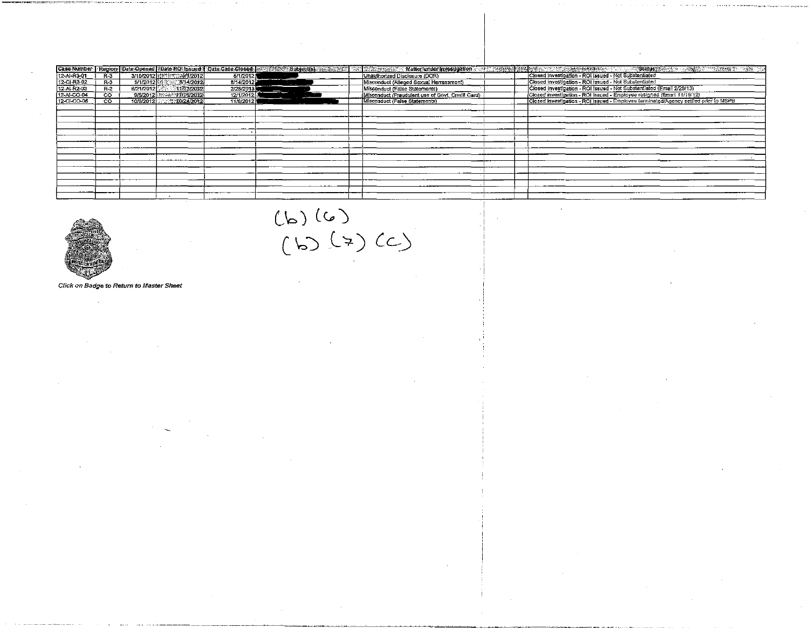|             |                |            |                           |             | Case/Number   Region  Date:Opened [XDate:ROUssued # :Date:Case:Closed   a = - 98%%   Subject(\$) # > a _ Malignam Malignam Matter under investigation and a server west a server in the server in | <b>不能是自己的思想</b> 的人的人的人的人的人的人,但是他们的人的人的人的人的人的人                                        |
|-------------|----------------|------------|---------------------------|-------------|---------------------------------------------------------------------------------------------------------------------------------------------------------------------------------------------------|--------------------------------------------------------------------------------------|
| 12-Al-R3-01 | $R-3$          |            | 3/15/2012 28:33 45/1/2012 | U(1/2012)   | Unauthorized Disclosure (DOR)                                                                                                                                                                     | Closed investigation - ROI issued - Not Substantiated                                |
| 12-CI-R3-02 | R-3            | 5/1/2012 N | 314/2012                  | 8/14/2012   | Misconduct (Alleged Sexual Harrassment)                                                                                                                                                           | Closed investigation - ROI issued - Not Substantiated                                |
| 12-Al-R2-03 | $R-2$          | 6/21/2012  | 11713/2012                | 2/28/2013   | Misconduct (False Statements)                                                                                                                                                                     | Closed investigation - ROI issued - Not Substantiated (Email 2/28/13)                |
| 12-AI-CO-04 | $\infty$       |            | 9/5/2012 - 9/11/16/2012   | 12/1/201213 | Misconduct (Fraudulent use of Govt. Credit Card)                                                                                                                                                  | Closed investigation - ROI issued - Employee resigned (Email 11/19/12)               |
| 12-CI-CO-05 | $\overline{c}$ |            | 10/9/2012 10/24/2012      | 11/8/2012   | Misconduct (False Statements)                                                                                                                                                                     | Closed investigation - ROI Issued - Employee terminated/Agency settled prior to MSPB |
|             |                |            |                           |             |                                                                                                                                                                                                   |                                                                                      |
|             |                |            |                           |             |                                                                                                                                                                                                   |                                                                                      |
|             |                |            |                           |             |                                                                                                                                                                                                   |                                                                                      |
|             |                |            |                           |             |                                                                                                                                                                                                   |                                                                                      |
|             |                |            |                           |             |                                                                                                                                                                                                   |                                                                                      |
|             |                |            |                           |             |                                                                                                                                                                                                   |                                                                                      |
|             |                |            |                           |             |                                                                                                                                                                                                   |                                                                                      |
|             |                |            |                           |             |                                                                                                                                                                                                   |                                                                                      |
|             |                |            |                           |             |                                                                                                                                                                                                   |                                                                                      |
|             |                |            |                           |             |                                                                                                                                                                                                   |                                                                                      |
|             |                |            |                           |             |                                                                                                                                                                                                   |                                                                                      |
|             |                |            |                           |             |                                                                                                                                                                                                   |                                                                                      |
|             |                |            |                           |             |                                                                                                                                                                                                   |                                                                                      |
|             |                |            |                           |             |                                                                                                                                                                                                   |                                                                                      |
|             |                |            |                           |             |                                                                                                                                                                                                   |                                                                                      |



#### Click on Badge to Return to Master Sheet

 $(6)(6)$ <br> $(6)(7)(7)(6)$